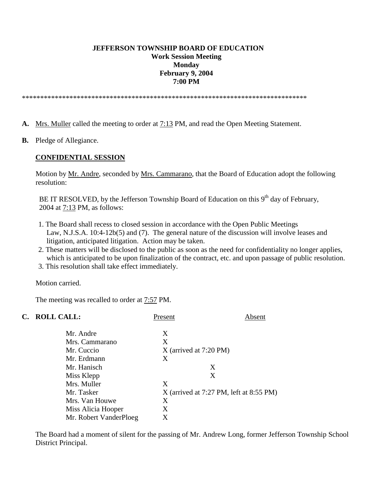#### **JEFFERSON TOWNSHIP BOARD OF EDUCATION Work Session Meeting Monday February 9, 2004 7:00 PM**

\*\*\*\*\*\*\*\*\*\*\*\*\*\*\*\*\*\*\*\*\*\*\*\*\*\*\*\*\*\*\*\*\*\*\*\*\*\*\*\*\*\*\*\*\*\*\*\*\*\*\*\*\*\*\*\*\*\*\*\*\*\*\*\*\*\*\*\*\*\*\*\*\*\*\*\*\*\*

- **A.** Mrs. Muller called the meeting to order at 7:13 PM, and read the Open Meeting Statement.
- **B.** Pledge of Allegiance.

#### **CONFIDENTIAL SESSION**

 Motion by Mr. Andre, seconded by Mrs. Cammarano, that the Board of Education adopt the following resolution:

BE IT RESOLVED, by the Jefferson Township Board of Education on this  $9<sup>th</sup>$  day of February, 2004 at 7:13 PM, as follows:

- 1. The Board shall recess to closed session in accordance with the Open Public Meetings Law, N.J.S.A. 10:4-12b(5) and (7). The general nature of the discussion will involve leases and litigation, anticipated litigation. Action may be taken.
- 2. These matters will be disclosed to the public as soon as the need for confidentiality no longer applies, which is anticipated to be upon finalization of the contract, etc. and upon passage of public resolution.
- 3. This resolution shall take effect immediately.

Motion carried.

The meeting was recalled to order at 7:57 PM.

| C. | <b>ROLL CALL:</b>      | Present                  | Absent                                    |  |
|----|------------------------|--------------------------|-------------------------------------------|--|
|    | Mr. Andre              | X                        |                                           |  |
|    | Mrs. Cammarano         | X                        |                                           |  |
|    | Mr. Cuccio             | $X$ (arrived at 7:20 PM) |                                           |  |
|    | Mr. Erdmann            | X                        |                                           |  |
|    | Mr. Hanisch            | X                        |                                           |  |
|    | Miss Klepp             | X                        |                                           |  |
|    | Mrs. Muller            | X                        |                                           |  |
|    | Mr. Tasker             |                          | $X$ (arrived at 7:27 PM, left at 8:55 PM) |  |
|    | Mrs. Van Houwe         | Χ                        |                                           |  |
|    | Miss Alicia Hooper     | Χ                        |                                           |  |
|    | Mr. Robert VanderPloeg | X                        |                                           |  |

The Board had a moment of silent for the passing of Mr. Andrew Long, former Jefferson Township School District Principal.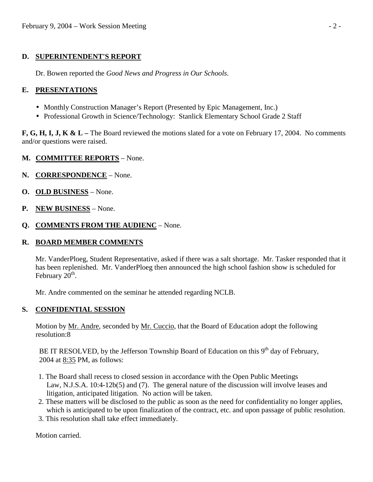# **D. SUPERINTENDENT'S REPORT**

Dr. Bowen reported the *Good News and Progress in Our Schools*.

# **E. PRESENTATIONS**

- Monthly Construction Manager's Report (Presented by Epic Management, Inc.)
- Professional Growth in Science/Technology: Stanlick Elementary School Grade 2 Staff

**F, G, H, I, J, K & L –** The Board reviewed the motions slated for a vote on February 17, 2004. No comments and/or questions were raised.

## **M. COMMITTEE REPORTS** – None.

- **N. CORRESPONDENCE** None.
- **O. OLD BUSINESS** None.
- **P. NEW BUSINESS** None.
- **Q. COMMENTS FROM THE AUDIENC** None.

## **R. BOARD MEMBER COMMENTS**

 Mr. VanderPloeg, Student Representative, asked if there was a salt shortage. Mr. Tasker responded that it has been replenished. Mr. VanderPloeg then announced the high school fashion show is scheduled for February  $20<sup>th</sup>$ .

Mr. Andre commented on the seminar he attended regarding NCLB.

## **S. CONFIDENTIAL SESSION**

Motion by Mr. Andre, seconded by Mr. Cuccio, that the Board of Education adopt the following resolution:8

BE IT RESOLVED, by the Jefferson Township Board of Education on this  $9<sup>th</sup>$  day of February, 2004 at 8:35 PM, as follows:

- 1. The Board shall recess to closed session in accordance with the Open Public Meetings Law, N.J.S.A. 10:4-12b(5) and (7). The general nature of the discussion will involve leases and litigation, anticipated litigation. No action will be taken.
- 2. These matters will be disclosed to the public as soon as the need for confidentiality no longer applies, which is anticipated to be upon finalization of the contract, etc. and upon passage of public resolution.
- 3. This resolution shall take effect immediately.

Motion carried.